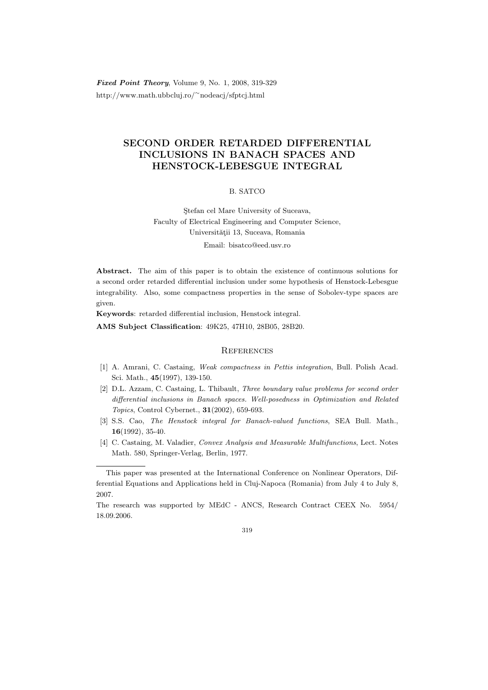Fixed Point Theory, Volume 9, No. 1, 2008, 319-329 http://www.math.ubbcluj.ro/<sup>∼</sup>nodeacj/sfptcj.html

## SECOND ORDER RETARDED DIFFERENTIAL INCLUSIONS IN BANACH SPACES AND HENSTOCK-LEBESGUE INTEGRAL

## B. SATCO

Stefan cel Mare University of Suceava, Faculty of Electrical Engineering and Computer Science, Universității 13, Suceava, Romania Email: bisatco@eed.usv.ro

Abstract. The aim of this paper is to obtain the existence of continuous solutions for a second order retarded differential inclusion under some hypothesis of Henstock-Lebesgue integrability. Also, some compactness properties in the sense of Sobolev-type spaces are given.

Keywords: retarded differential inclusion, Henstock integral.

AMS Subject Classification: 49K25, 47H10, 28B05, 28B20.

## **REFERENCES**

- [1] A. Amrani, C. Castaing, Weak compactness in Pettis integration, Bull. Polish Acad. Sci. Math., 45(1997), 139-150.
- [2] D.L. Azzam, C. Castaing, L. Thibault, Three boundary value problems for second order differential inclusions in Banach spaces. Well-posedness in Optimization and Related Topics, Control Cybernet., 31(2002), 659-693.
- [3] S.S. Cao, The Henstock integral for Banach-valued functions, SEA Bull. Math.,  $16(1992), 35-40.$
- [4] C. Castaing, M. Valadier, Convex Analysis and Measurable Multifunctions, Lect. Notes Math. 580, Springer-Verlag, Berlin, 1977.

This paper was presented at the International Conference on Nonlinear Operators, Differential Equations and Applications held in Cluj-Napoca (Romania) from July 4 to July 8, 2007.

The research was supported by MEdC - ANCS, Research Contract CEEX No. 5954/ 18.09.2006.

<sup>319</sup>